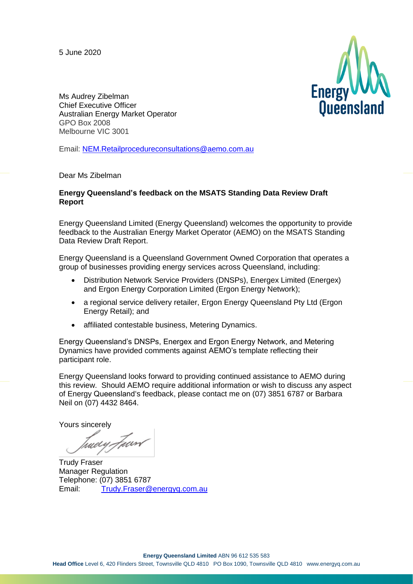5 June 2020



Ms Audrey Zibelman Chief Executive Officer Australian Energy Market Operator GPO Box 2008 Melbourne VIC 3001

Email: [NEM.Retailprocedureconsultations@aemo.com.au](mailto:NEM.Retailprocedureconsultations@aemo.com.au)

#### Dear Ms Zibelman

#### **Energy Queensland's feedback on the MSATS Standing Data Review Draft Report**

Energy Queensland Limited (Energy Queensland) welcomes the opportunity to provide feedback to the Australian Energy Market Operator (AEMO) on the MSATS Standing Data Review Draft Report.

Energy Queensland is a Queensland Government Owned Corporation that operates a group of businesses providing energy services across Queensland, including:

- Distribution Network Service Providers (DNSPs), Energex Limited (Energex) and Ergon Energy Corporation Limited (Ergon Energy Network);
- a regional service delivery retailer, Ergon Energy Queensland Pty Ltd (Ergon Energy Retail); and
- affiliated contestable business, Metering Dynamics.

Energy Queensland's DNSPs, Energex and Ergon Energy Network, and Metering Dynamics have provided comments against AEMO's template reflecting their participant role.

Energy Queensland looks forward to providing continued assistance to AEMO during this review. Should AEMO require additional information or wish to discuss any aspect of Energy Queensland's feedback, please contact me on (07) 3851 6787 or Barbara Neil on (07) 4432 8464.

Yours sincerely

tuer*y F*aard

Trudy Fraser Manager Regulation Telephone: (07) 3851 6787 Email: [Trudy.Fraser@energyq.com.au](mailto:Trudy.Fraser@energyq.com.au)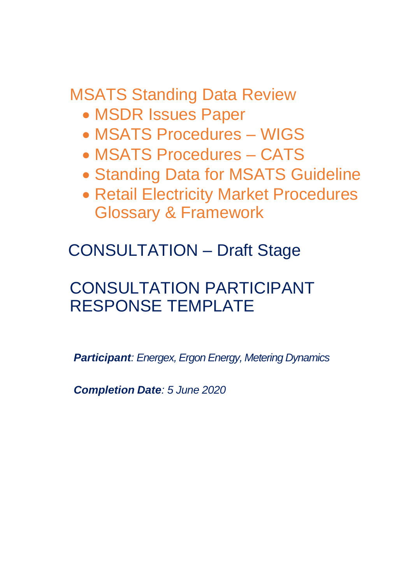MSATS Standing Data Review

- MSDR Issues Paper
- MSATS Procedures WIGS
- MSATS Procedures CATS
- Standing Data for MSATS Guideline
- Retail Electricity Market Procedures Glossary & Framework

CONSULTATION – Draft Stage

# CONSULTATION PARTICIPANT RESPONSE TEMPLATE

*Participant: Energex, Ergon Energy, Metering Dynamics*

*Completion Date: 5 June 2020*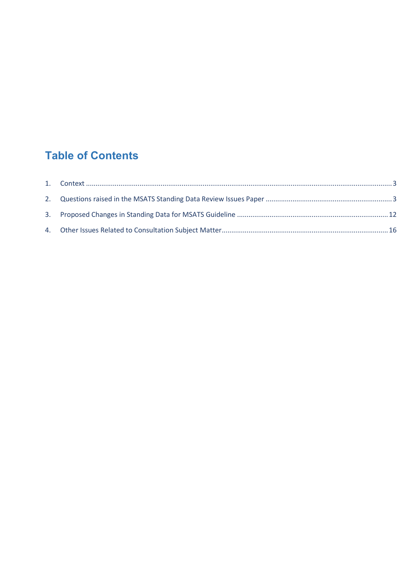## **Table of Contents**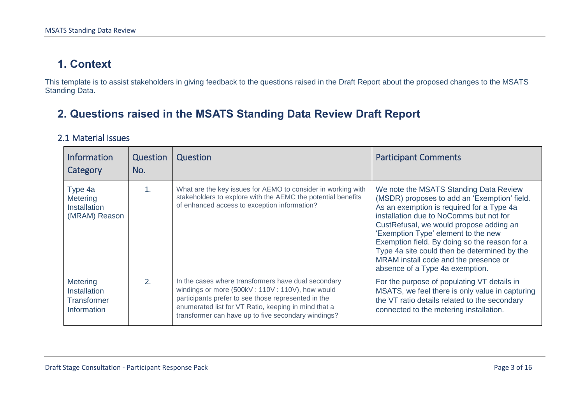### **1. Context**

This template is to assist stakeholders in giving feedback to the questions raised in the Draft Report about the proposed changes to the MSATS Standing Data.

### **2. Questions raised in the MSATS Standing Data Review Draft Report**

### 2.1 Material Issues

<span id="page-3-1"></span><span id="page-3-0"></span>

| <b>Information</b><br>Category                                              | Question<br>No. | Question                                                                                                                                                                                                                                                                     | <b>Participant Comments</b>                                                                                                                                                                                                                                                                                                                                                                                                                   |
|-----------------------------------------------------------------------------|-----------------|------------------------------------------------------------------------------------------------------------------------------------------------------------------------------------------------------------------------------------------------------------------------------|-----------------------------------------------------------------------------------------------------------------------------------------------------------------------------------------------------------------------------------------------------------------------------------------------------------------------------------------------------------------------------------------------------------------------------------------------|
| Type 4a<br><b>Metering</b><br>Installation<br>(MRAM) Reason                 | $\mathbf{1}$ .  | What are the key issues for AEMO to consider in working with<br>stakeholders to explore with the AEMC the potential benefits<br>of enhanced access to exception information?                                                                                                 | We note the MSATS Standing Data Review<br>(MSDR) proposes to add an 'Exemption' field.<br>As an exemption is required for a Type 4a<br>installation due to NoComms but not for<br>CustRefusal, we would propose adding an<br>'Exemption Type' element to the new<br>Exemption field. By doing so the reason for a<br>Type 4a site could then be determined by the<br>MRAM install code and the presence or<br>absence of a Type 4a exemption. |
| <b>Metering</b><br><b>Installation</b><br><b>Transformer</b><br>Information | 2.              | In the cases where transformers have dual secondary<br>windings or more (500kV: 110V: 110V), how would<br>participants prefer to see those represented in the<br>enumerated list for VT Ratio, keeping in mind that a<br>transformer can have up to five secondary windings? | For the purpose of populating VT details in<br>MSATS, we feel there is only value in capturing<br>the VT ratio details related to the secondary<br>connected to the metering installation.                                                                                                                                                                                                                                                    |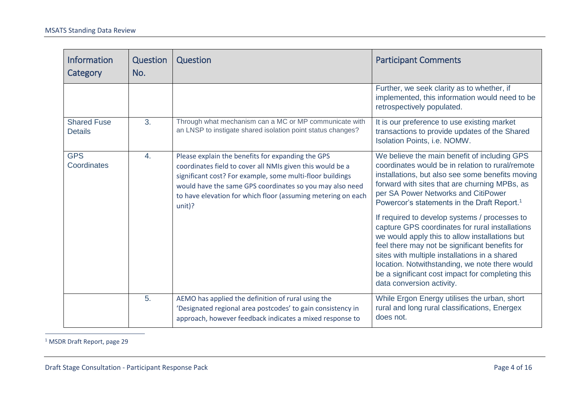| <b>Information</b><br>Category       | Question<br>No. | Question                                                                                                                                                                                                                                                                                                          | <b>Participant Comments</b>                                                                                                                                                                                                                                                                                                                                                                                                                                                                                                                                                                                                                                                                         |
|--------------------------------------|-----------------|-------------------------------------------------------------------------------------------------------------------------------------------------------------------------------------------------------------------------------------------------------------------------------------------------------------------|-----------------------------------------------------------------------------------------------------------------------------------------------------------------------------------------------------------------------------------------------------------------------------------------------------------------------------------------------------------------------------------------------------------------------------------------------------------------------------------------------------------------------------------------------------------------------------------------------------------------------------------------------------------------------------------------------------|
|                                      |                 |                                                                                                                                                                                                                                                                                                                   | Further, we seek clarity as to whether, if<br>implemented, this information would need to be<br>retrospectively populated.                                                                                                                                                                                                                                                                                                                                                                                                                                                                                                                                                                          |
| <b>Shared Fuse</b><br><b>Details</b> | 3.              | Through what mechanism can a MC or MP communicate with<br>an LNSP to instigate shared isolation point status changes?                                                                                                                                                                                             | It is our preference to use existing market<br>transactions to provide updates of the Shared<br>Isolation Points, i.e. NOMW.                                                                                                                                                                                                                                                                                                                                                                                                                                                                                                                                                                        |
| <b>GPS</b><br>Coordinates            | 4.              | Please explain the benefits for expanding the GPS<br>coordinates field to cover all NMIs given this would be a<br>significant cost? For example, some multi-floor buildings<br>would have the same GPS coordinates so you may also need<br>to have elevation for which floor (assuming metering on each<br>unit)? | We believe the main benefit of including GPS<br>coordinates would be in relation to rural/remote<br>installations, but also see some benefits moving<br>forward with sites that are churning MPBs, as<br>per SA Power Networks and CitiPower<br>Powercor's statements in the Draft Report. <sup>1</sup><br>If required to develop systems / processes to<br>capture GPS coordinates for rural installations<br>we would apply this to allow installations but<br>feel there may not be significant benefits for<br>sites with multiple installations in a shared<br>location. Notwithstanding, we note there would<br>be a significant cost impact for completing this<br>data conversion activity. |
|                                      | 5.              | AEMO has applied the definition of rural using the<br>'Designated regional area postcodes' to gain consistency in<br>approach, however feedback indicates a mixed response to                                                                                                                                     | While Ergon Energy utilises the urban, short<br>rural and long rural classifications, Energex<br>does not.                                                                                                                                                                                                                                                                                                                                                                                                                                                                                                                                                                                          |

<sup>1</sup> MSDR Draft Report, page 29

 $\overline{a}$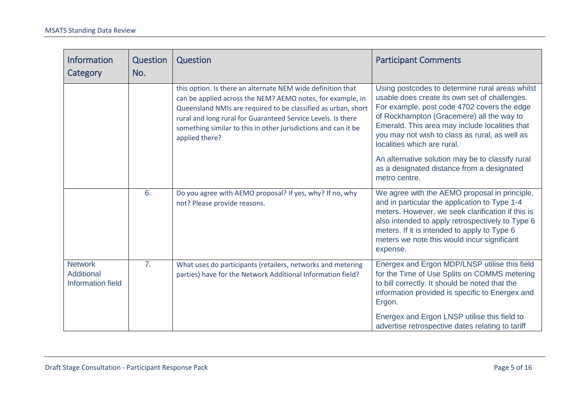| <b>Information</b><br>Category                           | Question<br>No. | Question                                                                                                                                                                                                                                                                                                                                       | <b>Participant Comments</b>                                                                                                                                                                                                                                                                                                     |
|----------------------------------------------------------|-----------------|------------------------------------------------------------------------------------------------------------------------------------------------------------------------------------------------------------------------------------------------------------------------------------------------------------------------------------------------|---------------------------------------------------------------------------------------------------------------------------------------------------------------------------------------------------------------------------------------------------------------------------------------------------------------------------------|
|                                                          |                 | this option. Is there an alternate NEM wide definition that<br>can be applied across the NEM? AEMO notes, for example, in<br>Queensland NMIs are required to be classified as urban, short<br>rural and long rural for Guaranteed Service Levels. Is there<br>something similar to this in other jurisdictions and can it be<br>applied there? | Using postcodes to determine rural areas whilst<br>usable does create its own set of challenges.<br>For example, post code 4702 covers the edge<br>of Rockhampton (Gracemere) all the way to<br>Emerald. This area may include localities that<br>you may not wish to class as rural, as well as<br>localities which are rural. |
|                                                          |                 |                                                                                                                                                                                                                                                                                                                                                | An alternative solution may be to classify rural<br>as a designated distance from a designated<br>metro centre.                                                                                                                                                                                                                 |
|                                                          | 6.              | Do you agree with AEMO proposal? If yes, why? If no, why<br>not? Please provide reasons.                                                                                                                                                                                                                                                       | We agree with the AEMO proposal in principle,<br>and in particular the application to Type 1-4<br>meters. However, we seek clarification if this is<br>also intended to apply retrospectively to Type 6<br>meters. If it is intended to apply to Type 6<br>meters we note this would incur significant<br>expense.              |
| <b>Network</b><br>Additional<br><b>Information field</b> | 7 <sub>1</sub>  | What uses do participants (retailers, networks and metering<br>parties) have for the Network Additional Information field?                                                                                                                                                                                                                     | Energex and Ergon MDP/LNSP utilise this field<br>for the Time of Use Splits on COMMS metering<br>to bill correctly. It should be noted that the<br>information provided is specific to Energex and<br>Ergon.<br>Energex and Ergon LNSP utilise this field to<br>advertise retrospective dates relating to tariff                |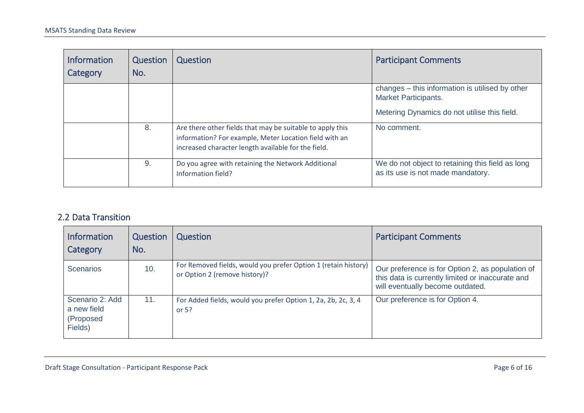| <b>Information</b><br>Category | Question<br>No. | Question                                                                                                                                                                   | <b>Participant Comments</b>                                                           |
|--------------------------------|-----------------|----------------------------------------------------------------------------------------------------------------------------------------------------------------------------|---------------------------------------------------------------------------------------|
|                                |                 |                                                                                                                                                                            | changes – this information is utilised by other<br><b>Market Participants.</b>        |
|                                |                 |                                                                                                                                                                            | Metering Dynamics do not utilise this field.                                          |
|                                | 8.              | Are there other fields that may be suitable to apply this<br>information? For example, Meter Location field with an<br>increased character length available for the field. | No comment.                                                                           |
|                                | 9.              | Do you agree with retaining the Network Additional<br>Information field?                                                                                                   | We do not object to retaining this field as long<br>as its use is not made mandatory. |

### 2.2 Data Transition

| <b>Information</b><br>Category                         | Question<br>No. | Question                                                                                        | <b>Participant Comments</b>                                                                                                              |
|--------------------------------------------------------|-----------------|-------------------------------------------------------------------------------------------------|------------------------------------------------------------------------------------------------------------------------------------------|
| <b>Scenarios</b>                                       | 10.             | For Removed fields, would you prefer Option 1 (retain history)<br>or Option 2 (remove history)? | Our preference is for Option 2, as population of<br>this data is currently limited or inaccurate and<br>will eventually become outdated. |
| Scenario 2: Add<br>a new field<br>(Proposed<br>Fields) | 11.             | For Added fields, would you prefer Option 1, 2a, 2b, 2c, 3, 4<br>or $5?$                        | Our preference is for Option 4.                                                                                                          |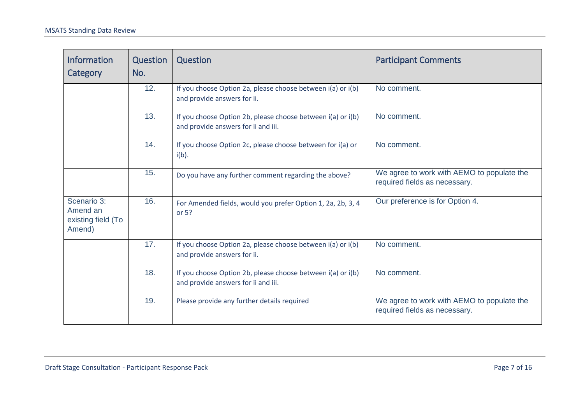| <b>Information</b><br>Category                          | Question<br>No. | Question                                                                                           | <b>Participant Comments</b>                                                 |
|---------------------------------------------------------|-----------------|----------------------------------------------------------------------------------------------------|-----------------------------------------------------------------------------|
|                                                         | 12.             | If you choose Option 2a, please choose between i(a) or i(b)<br>and provide answers for ii.         | No comment.                                                                 |
|                                                         | 13.             | If you choose Option 2b, please choose between i(a) or i(b)<br>and provide answers for ii and iii. | No comment.                                                                 |
|                                                         | 14.             | If you choose Option 2c, please choose between for i(a) or<br>$i(b)$ .                             | No comment.                                                                 |
|                                                         | 15.             | Do you have any further comment regarding the above?                                               | We agree to work with AEMO to populate the<br>required fields as necessary. |
| Scenario 3:<br>Amend an<br>existing field (To<br>Amend) | 16.             | For Amended fields, would you prefer Option 1, 2a, 2b, 3, 4<br>or $5?$                             | Our preference is for Option 4.                                             |
|                                                         | 17.             | If you choose Option 2a, please choose between i(a) or i(b)<br>and provide answers for ii.         | No comment.                                                                 |
|                                                         | 18.             | If you choose Option 2b, please choose between i(a) or i(b)<br>and provide answers for ii and iii. | No comment.                                                                 |
|                                                         | 19.             | Please provide any further details required                                                        | We agree to work with AEMO to populate the<br>required fields as necessary. |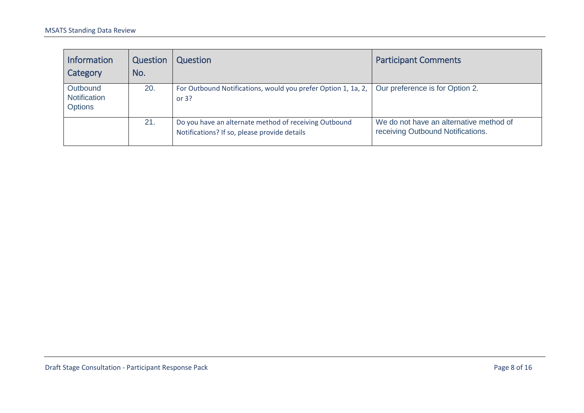| <b>Information</b><br>Category                    | Question<br>No. | Question                                                                                              | <b>Participant Comments</b>                                                  |
|---------------------------------------------------|-----------------|-------------------------------------------------------------------------------------------------------|------------------------------------------------------------------------------|
| Outbound<br><b>Notification</b><br><b>Options</b> | 20.             | For Outbound Notifications, would you prefer Option 1, 1a, 2,<br>or $3?$                              | Our preference is for Option 2.                                              |
|                                                   | 21.             | Do you have an alternate method of receiving Outbound<br>Notifications? If so, please provide details | We do not have an alternative method of<br>receiving Outbound Notifications. |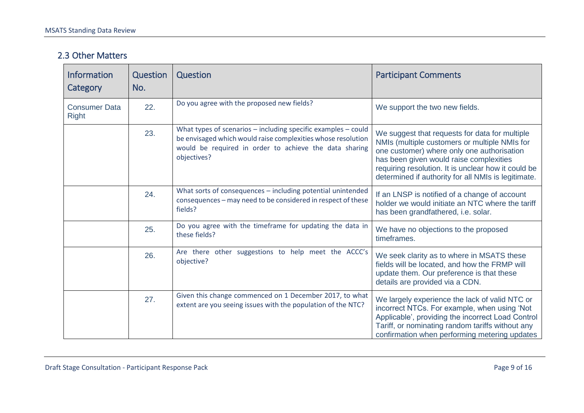#### 2.3 Other Matters

| <b>Information</b><br>Category       | Question<br>No. | Question                                                                                                                                                                                                   | <b>Participant Comments</b>                                                                                                                                                                                                                                                                            |
|--------------------------------------|-----------------|------------------------------------------------------------------------------------------------------------------------------------------------------------------------------------------------------------|--------------------------------------------------------------------------------------------------------------------------------------------------------------------------------------------------------------------------------------------------------------------------------------------------------|
| <b>Consumer Data</b><br><b>Right</b> | 22.             | Do you agree with the proposed new fields?                                                                                                                                                                 | We support the two new fields.                                                                                                                                                                                                                                                                         |
|                                      | 23.             | What types of scenarios $-$ including specific examples $-$ could<br>be envisaged which would raise complexities whose resolution<br>would be required in order to achieve the data sharing<br>objectives? | We suggest that requests for data for multiple<br>NMIs (multiple customers or multiple NMIs for<br>one customer) where only one authorisation<br>has been given would raise complexities<br>requiring resolution. It is unclear how it could be<br>determined if authority for all NMIs is legitimate. |
|                                      | 24.             | What sorts of consequences - including potential unintended<br>consequences - may need to be considered in respect of these<br>fields?                                                                     | If an LNSP is notified of a change of account<br>holder we would initiate an NTC where the tariff<br>has been grandfathered, i.e. solar.                                                                                                                                                               |
|                                      | 25.             | Do you agree with the timeframe for updating the data in<br>these fields?                                                                                                                                  | We have no objections to the proposed<br>timeframes.                                                                                                                                                                                                                                                   |
|                                      | 26.             | Are there other suggestions to help meet the ACCC's<br>objective?                                                                                                                                          | We seek clarity as to where in MSATS these<br>fields will be located, and how the FRMP will<br>update them. Our preference is that these<br>details are provided via a CDN.                                                                                                                            |
|                                      | 27.             | Given this change commenced on 1 December 2017, to what<br>extent are you seeing issues with the population of the NTC?                                                                                    | We largely experience the lack of valid NTC or<br>incorrect NTCs. For example, when using 'Not<br>Applicable', providing the incorrect Load Control<br>Tariff, or nominating random tariffs without any<br>confirmation when performing metering updates                                               |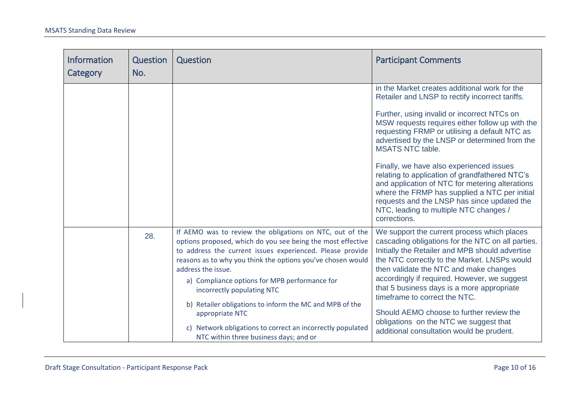| <b>Information</b><br>Category | Question<br>No. | Question                                                                                                                                                                                                                                                                                                                                                                                                                                                                                                                                       | <b>Participant Comments</b>                                                                                                                                                                                                                                                                                                                                                                                                                                                                                                                                                                                                                |
|--------------------------------|-----------------|------------------------------------------------------------------------------------------------------------------------------------------------------------------------------------------------------------------------------------------------------------------------------------------------------------------------------------------------------------------------------------------------------------------------------------------------------------------------------------------------------------------------------------------------|--------------------------------------------------------------------------------------------------------------------------------------------------------------------------------------------------------------------------------------------------------------------------------------------------------------------------------------------------------------------------------------------------------------------------------------------------------------------------------------------------------------------------------------------------------------------------------------------------------------------------------------------|
|                                |                 |                                                                                                                                                                                                                                                                                                                                                                                                                                                                                                                                                | in the Market creates additional work for the<br>Retailer and LNSP to rectify incorrect tariffs.<br>Further, using invalid or incorrect NTCs on<br>MSW requests requires either follow up with the<br>requesting FRMP or utilising a default NTC as<br>advertised by the LNSP or determined from the<br><b>MSATS NTC table.</b><br>Finally, we have also experienced issues<br>relating to application of grandfathered NTC's<br>and application of NTC for metering alterations<br>where the FRMP has supplied a NTC per initial<br>requests and the LNSP has since updated the<br>NTC, leading to multiple NTC changes /<br>corrections. |
|                                | 28.             | If AEMO was to review the obligations on NTC, out of the<br>options proposed, which do you see being the most effective<br>to address the current issues experienced. Please provide<br>reasons as to why you think the options you've chosen would<br>address the issue.<br>a) Compliance options for MPB performance for<br>incorrectly populating NTC<br>b) Retailer obligations to inform the MC and MPB of the<br>appropriate NTC<br>c) Network obligations to correct an incorrectly populated<br>NTC within three business days; and or | We support the current process which places<br>cascading obligations for the NTC on all parties.<br>Initially the Retailer and MPB should advertise<br>the NTC correctly to the Market. LNSPs would<br>then validate the NTC and make changes<br>accordingly if required. However, we suggest<br>that 5 business days is a more appropriate<br>timeframe to correct the NTC.<br>Should AEMO choose to further review the<br>obligations on the NTC we suggest that<br>additional consultation would be prudent.                                                                                                                            |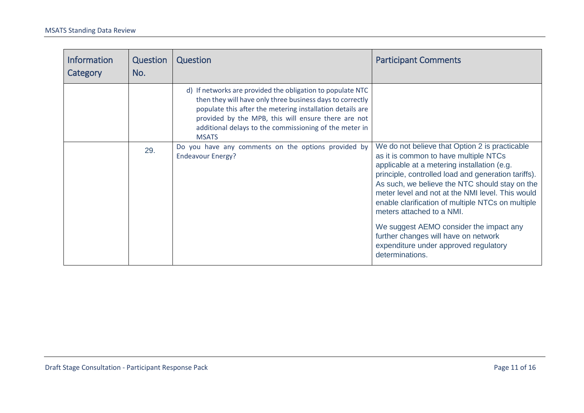<span id="page-11-0"></span>

| <b>Information</b><br>Category | Question<br>No. | Question                                                                                                                                                                                                                                                                                                              | <b>Participant Comments</b>                                                                                                                                                                                                                                                                                                                                                           |
|--------------------------------|-----------------|-----------------------------------------------------------------------------------------------------------------------------------------------------------------------------------------------------------------------------------------------------------------------------------------------------------------------|---------------------------------------------------------------------------------------------------------------------------------------------------------------------------------------------------------------------------------------------------------------------------------------------------------------------------------------------------------------------------------------|
|                                |                 | d) If networks are provided the obligation to populate NTC<br>then they will have only three business days to correctly<br>populate this after the metering installation details are<br>provided by the MPB, this will ensure there are not<br>additional delays to the commissioning of the meter in<br><b>MSATS</b> |                                                                                                                                                                                                                                                                                                                                                                                       |
|                                | 29.             | Do you have any comments on the options provided by<br><b>Endeavour Energy?</b>                                                                                                                                                                                                                                       | We do not believe that Option 2 is practicable<br>as it is common to have multiple NTCs<br>applicable at a metering installation (e.g.<br>principle, controlled load and generation tariffs).<br>As such, we believe the NTC should stay on the<br>meter level and not at the NMI level. This would<br>enable clarification of multiple NTCs on multiple<br>meters attached to a NMI. |
|                                |                 |                                                                                                                                                                                                                                                                                                                       | We suggest AEMO consider the impact any<br>further changes will have on network<br>expenditure under approved regulatory<br>determinations.                                                                                                                                                                                                                                           |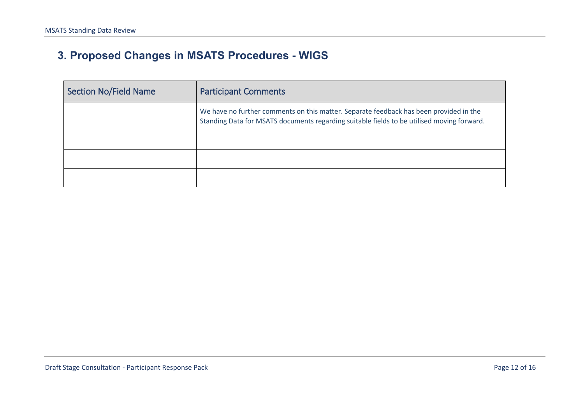## **3. Proposed Changes in MSATS Procedures - WIGS**

| <b>Section No/Field Name</b> | <b>Participant Comments</b>                                                                                                                                                          |
|------------------------------|--------------------------------------------------------------------------------------------------------------------------------------------------------------------------------------|
|                              | We have no further comments on this matter. Separate feedback has been provided in the<br>Standing Data for MSATS documents regarding suitable fields to be utilised moving forward. |
|                              |                                                                                                                                                                                      |
|                              |                                                                                                                                                                                      |
|                              |                                                                                                                                                                                      |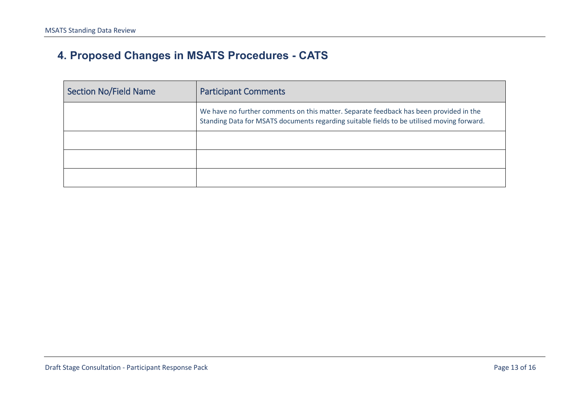## **4. Proposed Changes in MSATS Procedures - CATS**

| <b>Section No/Field Name</b> | <b>Participant Comments</b>                                                                                                                                                          |
|------------------------------|--------------------------------------------------------------------------------------------------------------------------------------------------------------------------------------|
|                              | We have no further comments on this matter. Separate feedback has been provided in the<br>Standing Data for MSATS documents regarding suitable fields to be utilised moving forward. |
|                              |                                                                                                                                                                                      |
|                              |                                                                                                                                                                                      |
|                              |                                                                                                                                                                                      |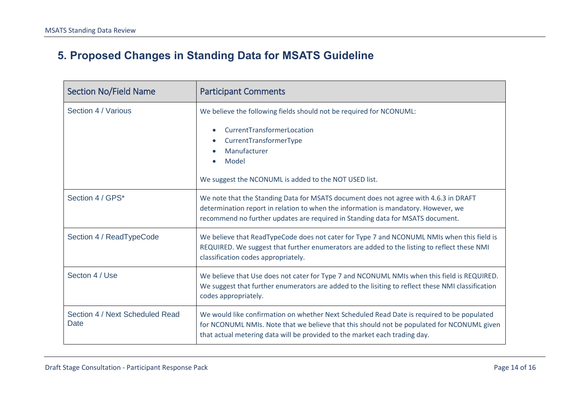## **5. Proposed Changes in Standing Data for MSATS Guideline**

| <b>Section No/Field Name</b>            | <b>Participant Comments</b>                                                                                                                                                                                                                                            |
|-----------------------------------------|------------------------------------------------------------------------------------------------------------------------------------------------------------------------------------------------------------------------------------------------------------------------|
| Section 4 / Various                     | We believe the following fields should not be required for NCONUML:<br>CurrentTransformerLocation<br>$\bullet$<br>CurrentTransformerType<br>Manufacturer<br>Model<br>$\bullet$<br>We suggest the NCONUML is added to the NOT USED list.                                |
| Section 4 / GPS*                        | We note that the Standing Data for MSATS document does not agree with 4.6.3 in DRAFT<br>determination report in relation to when the information is mandatory. However, we<br>recommend no further updates are required in Standing data for MSATS document.           |
| Section 4 / ReadTypeCode                | We believe that ReadTypeCode does not cater for Type 7 and NCONUML NMIs when this field is<br>REQUIRED. We suggest that further enumerators are added to the listing to reflect these NMI<br>classification codes appropriately.                                       |
| Secton 4 / Use                          | We believe that Use does not cater for Type 7 and NCONUML NMIs when this field is REQUIRED.<br>We suggest that further enumerators are added to the lisiting to reflect these NMI classification<br>codes appropriately.                                               |
| Section 4 / Next Scheduled Read<br>Date | We would like confirmation on whether Next Scheduled Read Date is required to be populated<br>for NCONUML NMIs. Note that we believe that this should not be populated for NCONUML given<br>that actual metering data will be provided to the market each trading day. |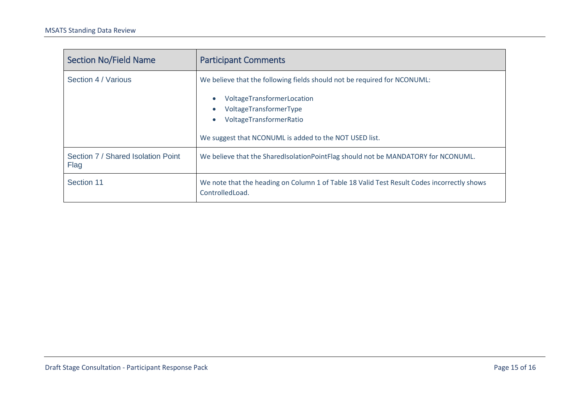| <b>Section No/Field Name</b>               | <b>Participant Comments</b>                                                                                                                                                                                                                                  |
|--------------------------------------------|--------------------------------------------------------------------------------------------------------------------------------------------------------------------------------------------------------------------------------------------------------------|
| Section 4 / Various                        | We believe that the following fields should not be required for NCONUML:<br>VoltageTransformerLocation<br>$\bullet$<br>VoltageTransformerType<br>$\bullet$<br>VoltageTransformerRatio<br>$\bullet$<br>We suggest that NCONUML is added to the NOT USED list. |
| Section 7 / Shared Isolation Point<br>Flag | We believe that the SharedIsolationPointFlag should not be MANDATORY for NCONUML.                                                                                                                                                                            |
| Section 11                                 | We note that the heading on Column 1 of Table 18 Valid Test Result Codes incorrectly shows<br>ControlledLoad.                                                                                                                                                |